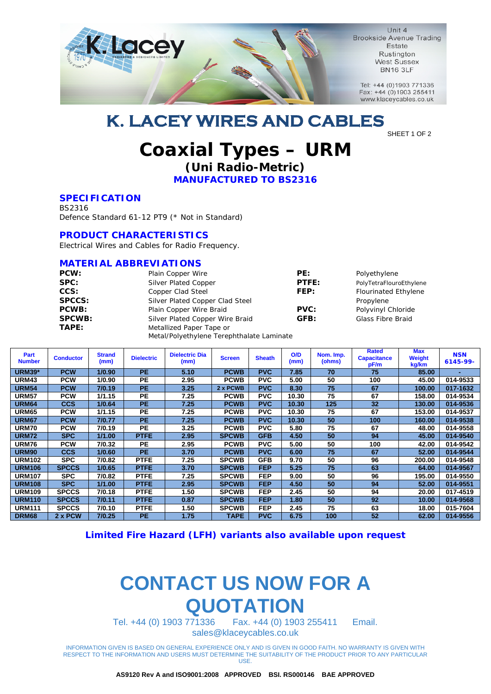

Unit 4 **Brookside Avenue Trading** Estate Rustington **West Sussex BN16 3LF** 

Tel: +44 (0)1903 771336 Fax: +44 (0)1903 255411 www.klaceycables.co.uk

## **K. LACEY WIRES AND CABLES**

#### SHEET 1 OF 2

### **Coaxial Types – URM (Uni Radio-Metric)**

**MANUFACTURED TO BS2316** 

#### **SPECIFICATION**

BS2316 Defence Standard 61-12 PT9 (\* Not in Standard)

#### **PRODUCT CHARACTERISTICS**

Electrical Wires and Cables for Radio Frequency.

#### **MATERIAL ABBREVIATIONS**

| PCW:          | Plain Copper Wire                         | PE:         | Polyethylene                |  |  |
|---------------|-------------------------------------------|-------------|-----------------------------|--|--|
| SPC:          | <b>Silver Plated Copper</b>               | PTFE:       | PolyTetraFlouroEthylene     |  |  |
| CCS:          | Copper Clad Steel                         | FEP:        | <b>Flourinated Ethylene</b> |  |  |
| <b>SPCCS:</b> | Silver Plated Copper Clad Steel           |             | Propylene                   |  |  |
| <b>PCWB:</b>  | Plain Copper Wire Braid                   | <b>PVC:</b> | Polyvinyl Chloride          |  |  |
| <b>SPCWB:</b> | Silver Plated Copper Wire Braid           | GFB:        | <b>Glass Fibre Braid</b>    |  |  |
| TAPE:         | Metallized Paper Tape or                  |             |                             |  |  |
|               | Metal/Polyethylene Terephthalate Laminate |             |                             |  |  |

| Part<br><b>Number</b> | <b>Conductor</b> | <b>Strand</b><br>(mm) | <b>Dielectric</b> | <b>Dielectric Dia</b><br>(mm) | <b>Screen</b> | <b>Sheath</b> | O/D<br>(mm) | Nom. Imp.<br>(ohms) | <b>Rated</b><br><b>Capacitance</b><br>pF/m | <b>Max</b><br><b>Weight</b><br>kg/km | <b>NSN</b><br>6145-99- |
|-----------------------|------------------|-----------------------|-------------------|-------------------------------|---------------|---------------|-------------|---------------------|--------------------------------------------|--------------------------------------|------------------------|
| <b>URM39*</b>         | <b>PCW</b>       | 1/0.90                | <b>PE</b>         | 5.10                          | <b>PCWB</b>   | <b>PVC</b>    | 7.85        | 70                  | 75                                         | 85.00                                |                        |
| URM43                 | <b>PCW</b>       | 1/0.90                | <b>PE</b>         | 2.95                          | <b>PCWB</b>   | <b>PVC</b>    | 5.00        | 50                  | 100                                        | 45.00                                | 014-9533               |
| <b>URM54</b>          | <b>PCW</b>       | 7/0.19                | <b>PE</b>         | 3.25                          | 2 x PCWB      | <b>PVC</b>    | 8.30        | 75                  | 67                                         | 100.00                               | 017-1632               |
| <b>URM57</b>          | <b>PCW</b>       | 1/1.15                | <b>PE</b>         | 7.25                          | <b>PCWB</b>   | <b>PVC</b>    | 10.30       | 75                  | 67                                         | 158.00                               | 014-9534               |
| <b>URM64</b>          | <b>CCS</b>       | 1/0.64                | <b>PE</b>         | 7.25                          | <b>PCWB</b>   | <b>PVC</b>    | 10.30       | 125                 | 32                                         | 130.00                               | 014-9536               |
| <b>URM65</b>          | <b>PCW</b>       | 1/1.15                | <b>PE</b>         | 7.25                          | <b>PCWB</b>   | <b>PVC</b>    | 10.30       | 75                  | 67                                         | 153.00                               | 014-9537               |
| <b>URM67</b>          | <b>PCW</b>       | 7/0.77                | <b>PE</b>         | 7.25                          | <b>PCWB</b>   | <b>PVC</b>    | 10.30       | 50                  | 100                                        | 160.00                               | 014-9538               |
| <b>URM70</b>          | <b>PCW</b>       | 7/0.19                | <b>PE</b>         | 3.25                          | <b>PCWB</b>   | <b>PVC</b>    | 5.80        | 75                  | 67                                         | 48.00                                | 014-9558               |
| <b>URM72</b>          | <b>SPC</b>       | 1/1.00                | <b>PTFE</b>       | 2.95                          | <b>SPCWB</b>  | <b>GFB</b>    | 4.50        | 50                  | 94                                         | 45.00                                | 014-9540               |
| <b>URM76</b>          | <b>PCW</b>       | 7/0.32                | <b>PE</b>         | 2.95                          | <b>PCWB</b>   | <b>PVC</b>    | 5.00        | 50                  | 100                                        | 42.00                                | 014-9542               |
| URM <sub>90</sub>     | <b>CCS</b>       | 1/0.60                | <b>PE</b>         | 3.70                          | <b>PCWB</b>   | <b>PVC</b>    | 6.00        | 75                  | 67                                         | 52.00                                | 014-9544               |
| <b>URM102</b>         | <b>SPC</b>       | 7/0.82                | <b>PTFE</b>       | 7.25                          | <b>SPCWB</b>  | <b>GFB</b>    | 9.70        | 50                  | 96                                         | 200.00                               | 014-9548               |
| <b>URM106</b>         | SPCCS            | 1/0.65                | <b>PTFE</b>       | 3.70                          | <b>SPCWB</b>  | <b>FEP</b>    | 5.25        | 75                  | 63                                         | 64.00                                | 014-9567               |
| <b>URM107</b>         | <b>SPC</b>       | 7/0.82                | <b>PTFE</b>       | 7.25                          | <b>SPCWB</b>  | <b>FEP</b>    | 9.00        | 50                  | 96                                         | 195.00                               | 014-9550               |
| <b>URM108</b>         | <b>SPC</b>       | 1/1.00                | <b>PTFE</b>       | 2.95                          | <b>SPCWB</b>  | <b>FEP</b>    | 4.50        | 50                  | 94                                         | 52.00                                | 014-9551               |
| <b>URM109</b>         | <b>SPCCS</b>     | 7/0.18                | <b>PTFE</b>       | 1.50                          | <b>SPCWB</b>  | <b>FEP</b>    | 2.45        | 50                  | 94                                         | 20.00                                | 017-4519               |
| <b>URM110</b>         | SPCCS            | 7/0.11                | <b>PTFE</b>       | 0.87                          | <b>SPCWB</b>  | <b>FEP</b>    | 1.80        | 50                  | 92                                         | 10.00                                | 014-9568               |
| <b>URM111</b>         | SPCCS            | 7/0.10                | <b>PTFE</b>       | 1.50                          | <b>SPCWB</b>  | <b>FEP</b>    | 2.45        | 75                  | 63                                         | 18.00                                | 015-7604               |
| DRM <sub>68</sub>     | 2 x PCW          | 7/0.25                | <b>PE</b>         | 1.75                          | <b>TAPE</b>   | <b>PVC</b>    | 6.75        | 100                 | 52                                         | 62.00                                | 014-9556               |

**Limited Fire Hazard (LFH) variants also available upon request** 

# **CONTACT US NOW FOR A QUOTATION**

Tel. +44 (0) 1903 771336 Fax. +44 (0) 1903 255411 Email. sales@klaceycables.co.uk

INFORMATION GIVEN IS BASED ON GENERAL EXPERIENCE ONLY AND IS GIVEN IN GOOD FAITH. NO WARRANTY IS GIVEN WITH RESPECT TO THE INFORMATION AND USERS MUST DETERMINE THE SUITABILITY OF THE PRODUCT PRIOR TO ANY PARTICULAR USE.

**AS9120 Rev A and ISO9001:2008 APPROVED BSI. RS000146 BAE APPROVED**